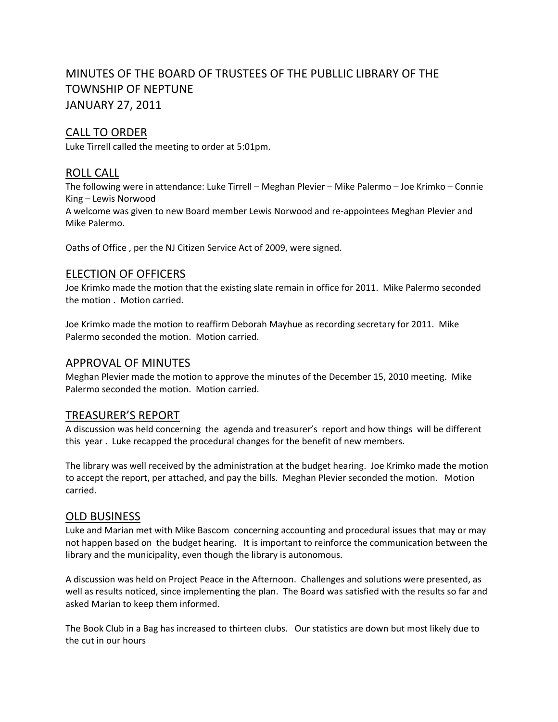# MINUTES OF THE BOARD OF TRUSTEES OF THE PUBLLIC LIBRARY OF THE TOWNSHIP OF NEPTUNE JANUARY 27, 2011

# CALL TO ORDER

Luke Tirrell called the meeting to order at 5:01pm.

### ROLL CALL

The following were in attendance: Luke Tirrell – Meghan Plevier – Mike Palermo – Joe Krimko – Connie King – Lewis Norwood

A welcome was given to new Board member Lewis Norwood and re‐appointees Meghan Plevier and Mike Palermo.

Oaths of Office , per the NJ Citizen Service Act of 2009, were signed.

#### ELECTION OF OFFICERS

Joe Krimko made the motion that the existing slate remain in office for 2011. Mike Palermo seconded the motion . Motion carried.

Joe Krimko made the motion to reaffirm Deborah Mayhue as recording secretary for 2011. Mike Palermo seconded the motion. Motion carried.

#### APPROVAL OF MINUTES

Meghan Plevier made the motion to approve the minutes of the December 15, 2010 meeting. Mike Palermo seconded the motion. Motion carried.

#### TREASURER'S REPORT

A discussion was held concerning the agenda and treasurer's report and how things will be different this year . Luke recapped the procedural changes for the benefit of new members.

The library was well received by the administration at the budget hearing. Joe Krimko made the motion to accept the report, per attached, and pay the bills. Meghan Plevier seconded the motion. Motion carried.

#### OLD BUSINESS

Luke and Marian met with Mike Bascom concerning accounting and procedural issues that may or may not happen based on the budget hearing. It is important to reinforce the communication between the library and the municipality, even though the library is autonomous.

A discussion was held on Project Peace in the Afternoon. Challenges and solutions were presented, as well as results noticed, since implementing the plan. The Board was satisfied with the results so far and asked Marian to keep them informed.

The Book Club in a Bag has increased to thirteen clubs. Our statistics are down but most likely due to the cut in our hours